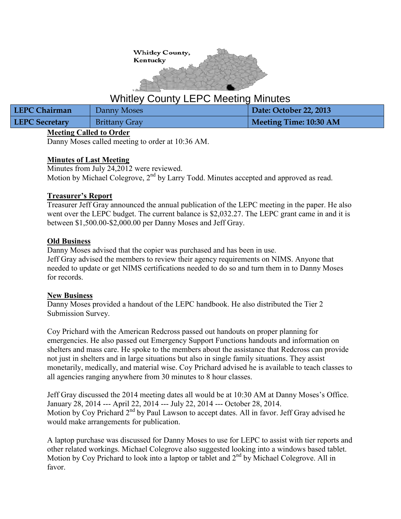

# Whitley County LEPC Meeting Minutes

| <b>LEPC Chairman</b>  | Danny Moses          | Date: October 22, 2013 |
|-----------------------|----------------------|------------------------|
| <b>LEPC Secretary</b> | <b>Brittany Gray</b> | Meeting Time: 10:30 AM |

## **Meeting Called to Order**

Danny Moses called meeting to order at 10:36 AM.

## **Minutes of Last Meeting**

Minutes from July 24,2012 were reviewed. Motion by Michael Colegrove, 2<sup>nd</sup> by Larry Todd. Minutes accepted and approved as read.

## **Treasurer's Report**

Treasurer Jeff Gray announced the annual publication of the LEPC meeting in the paper. He also went over the LEPC budget. The current balance is \$2,032.27. The LEPC grant came in and it is between \$1,500.00-\$2,000.00 per Danny Moses and Jeff Gray.

## **Old Business**

Danny Moses advised that the copier was purchased and has been in use. Jeff Gray advised the members to review their agency requirements on NIMS. Anyone that needed to update or get NIMS certifications needed to do so and turn them in to Danny Moses for records.

#### **New Business**

Danny Moses provided a handout of the LEPC handbook. He also distributed the Tier 2 Submission Survey.

Coy Prichard with the American Redcross passed out handouts on proper planning for emergencies. He also passed out Emergency Support Functions handouts and information on shelters and mass care. He spoke to the members about the assistance that Redcross can provide not just in shelters and in large situations but also in single family situations. They assist monetarily, medically, and material wise. Coy Prichard advised he is available to teach classes to all agencies ranging anywhere from 30 minutes to 8 hour classes.

Jeff Gray discussed the 2014 meeting dates all would be at 10:30 AM at Danny Moses's Office. January 28, 2014 --- April 22, 2014 --- July 22, 2014 --- October 28, 2014. Motion by Coy Prichard  $2<sup>nd</sup>$  by Paul Lawson to accept dates. All in favor. Jeff Gray advised he would make arrangements for publication.

A laptop purchase was discussed for Danny Moses to use for LEPC to assist with tier reports and other related workings. Michael Colegrove also suggested looking into a windows based tablet. Motion by Coy Prichard to look into a laptop or tablet and 2<sup>nd</sup> by Michael Colegrove. All in favor.